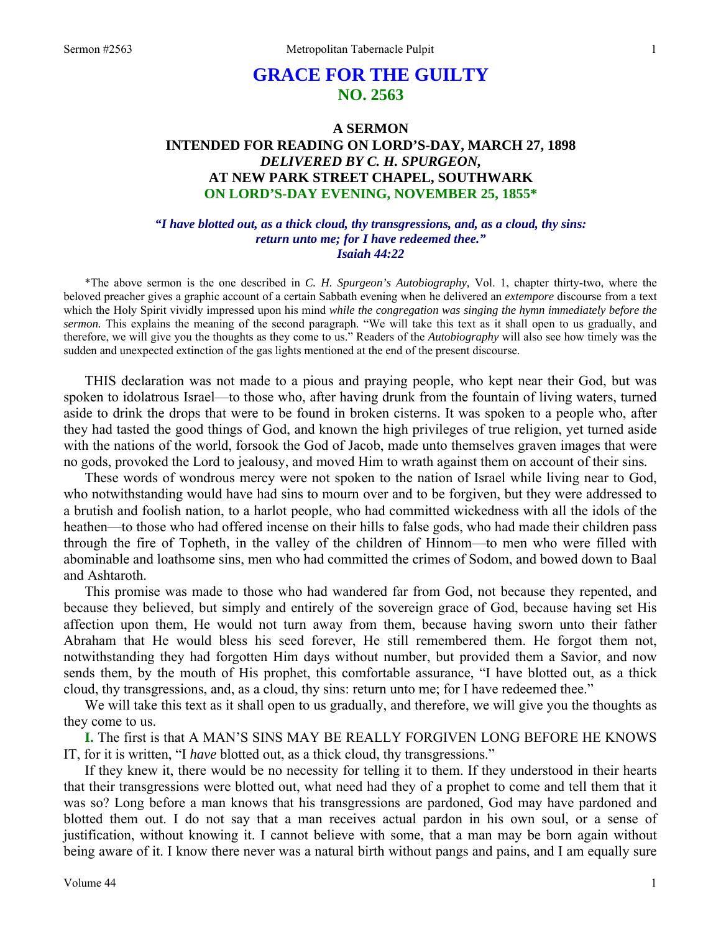# **GRACE FOR THE GUILTY NO. 2563**

# **A SERMON INTENDED FOR READING ON LORD'S-DAY, MARCH 27, 1898**  *DELIVERED BY C. H. SPURGEON,*  **AT NEW PARK STREET CHAPEL, SOUTHWARK ON LORD'S-DAY EVENING, NOVEMBER 25, 1855\***

#### *"I have blotted out, as a thick cloud, thy transgressions, and, as a cloud, thy sins: return unto me; for I have redeemed thee." Isaiah 44:22*

\*The above sermon is the one described in *C. H. Spurgeon's Autobiography,* Vol. 1, chapter thirty-two, where the beloved preacher gives a graphic account of a certain Sabbath evening when he delivered an *extempore* discourse from a text which the Holy Spirit vividly impressed upon his mind *while the congregation was singing the hymn immediately before the sermon.* This explains the meaning of the second paragraph. "We will take this text as it shall open to us gradually, and therefore, we will give you the thoughts as they come to us." Readers of the *Autobiography* will also see how timely was the sudden and unexpected extinction of the gas lights mentioned at the end of the present discourse.

THIS declaration was not made to a pious and praying people, who kept near their God, but was spoken to idolatrous Israel—to those who, after having drunk from the fountain of living waters, turned aside to drink the drops that were to be found in broken cisterns. It was spoken to a people who, after they had tasted the good things of God, and known the high privileges of true religion, yet turned aside with the nations of the world, forsook the God of Jacob, made unto themselves graven images that were no gods, provoked the Lord to jealousy, and moved Him to wrath against them on account of their sins*.* 

These words of wondrous mercy were not spoken to the nation of Israel while living near to God, who notwithstanding would have had sins to mourn over and to be forgiven, but they were addressed to a brutish and foolish nation, to a harlot people, who had committed wickedness with all the idols of the heathen—to those who had offered incense on their hills to false gods, who had made their children pass through the fire of Topheth, in the valley of the children of Hinnom—to men who were filled with abominable and loathsome sins, men who had committed the crimes of Sodom, and bowed down to Baal and Ashtaroth.

This promise was made to those who had wandered far from God, not because they repented, and because they believed, but simply and entirely of the sovereign grace of God, because having set His affection upon them, He would not turn away from them, because having sworn unto their father Abraham that He would bless his seed forever, He still remembered them. He forgot them not, notwithstanding they had forgotten Him days without number, but provided them a Savior, and now sends them, by the mouth of His prophet, this comfortable assurance, "I have blotted out, as a thick cloud, thy transgressions, and, as a cloud, thy sins: return unto me; for I have redeemed thee."

We will take this text as it shall open to us gradually, and therefore, we will give you the thoughts as they come to us.

**I.** The first is that A MAN'S SINS MAY BE REALLY FORGIVEN LONG BEFORE HE KNOWS IT, for it is written, "I *have* blotted out, as a thick cloud, thy transgressions."

If they knew it, there would be no necessity for telling it to them. If they understood in their hearts that their transgressions were blotted out, what need had they of a prophet to come and tell them that it was so? Long before a man knows that his transgressions are pardoned, God may have pardoned and blotted them out. I do not say that a man receives actual pardon in his own soul, or a sense of justification, without knowing it. I cannot believe with some, that a man may be born again without being aware of it. I know there never was a natural birth without pangs and pains, and I am equally sure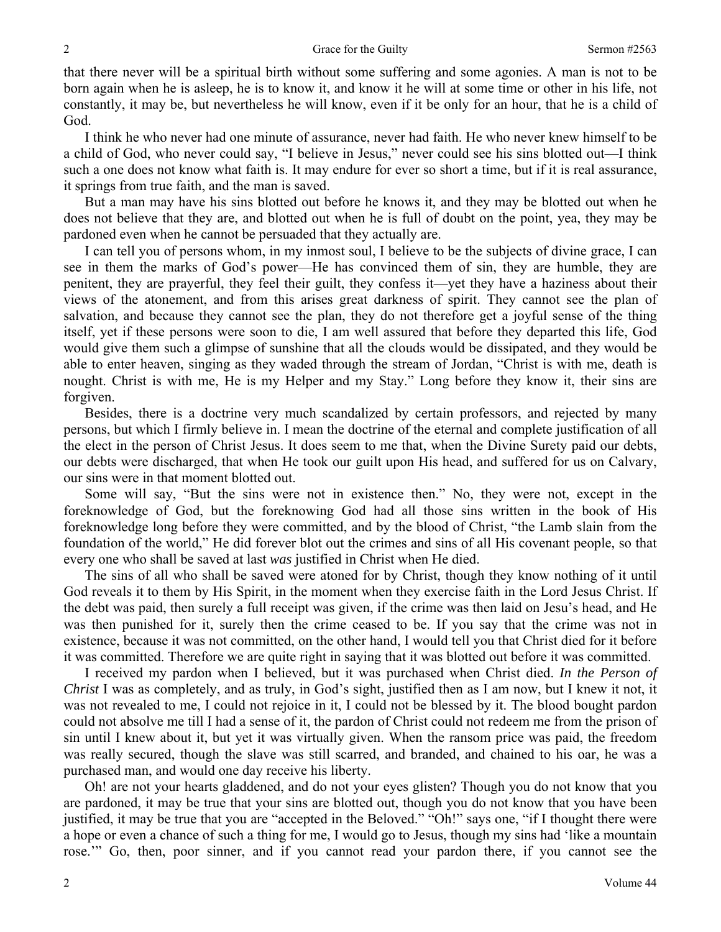that there never will be a spiritual birth without some suffering and some agonies. A man is not to be born again when he is asleep, he is to know it, and know it he will at some time or other in his life, not constantly, it may be, but nevertheless he will know, even if it be only for an hour, that he is a child of God.

I think he who never had one minute of assurance, never had faith. He who never knew himself to be a child of God, who never could say, "I believe in Jesus," never could see his sins blotted out—I think such a one does not know what faith is. It may endure for ever so short a time, but if it is real assurance, it springs from true faith, and the man is saved.

But a man may have his sins blotted out before he knows it, and they may be blotted out when he does not believe that they are, and blotted out when he is full of doubt on the point, yea, they may be pardoned even when he cannot be persuaded that they actually are.

I can tell you of persons whom, in my inmost soul, I believe to be the subjects of divine grace, I can see in them the marks of God's power—He has convinced them of sin, they are humble, they are penitent, they are prayerful, they feel their guilt, they confess it—yet they have a haziness about their views of the atonement, and from this arises great darkness of spirit. They cannot see the plan of salvation, and because they cannot see the plan, they do not therefore get a joyful sense of the thing itself, yet if these persons were soon to die, I am well assured that before they departed this life, God would give them such a glimpse of sunshine that all the clouds would be dissipated, and they would be able to enter heaven, singing as they waded through the stream of Jordan, "Christ is with me, death is nought. Christ is with me, He is my Helper and my Stay." Long before they know it, their sins are forgiven.

Besides, there is a doctrine very much scandalized by certain professors, and rejected by many persons, but which I firmly believe in. I mean the doctrine of the eternal and complete justification of all the elect in the person of Christ Jesus. It does seem to me that, when the Divine Surety paid our debts, our debts were discharged, that when He took our guilt upon His head, and suffered for us on Calvary, our sins were in that moment blotted out.

Some will say, "But the sins were not in existence then." No, they were not, except in the foreknowledge of God, but the foreknowing God had all those sins written in the book of His foreknowledge long before they were committed, and by the blood of Christ, "the Lamb slain from the foundation of the world," He did forever blot out the crimes and sins of all His covenant people, so that every one who shall be saved at last *was* justified in Christ when He died.

The sins of all who shall be saved were atoned for by Christ, though they know nothing of it until God reveals it to them by His Spirit, in the moment when they exercise faith in the Lord Jesus Christ. If the debt was paid, then surely a full receipt was given, if the crime was then laid on Jesu's head, and He was then punished for it, surely then the crime ceased to be. If you say that the crime was not in existence, because it was not committed, on the other hand, I would tell you that Christ died for it before it was committed. Therefore we are quite right in saying that it was blotted out before it was committed.

I received my pardon when I believed, but it was purchased when Christ died. *In the Person of Christ* I was as completely, and as truly, in God's sight, justified then as I am now, but I knew it not, it was not revealed to me, I could not rejoice in it, I could not be blessed by it. The blood bought pardon could not absolve me till I had a sense of it, the pardon of Christ could not redeem me from the prison of sin until I knew about it, but yet it was virtually given. When the ransom price was paid, the freedom was really secured, though the slave was still scarred, and branded, and chained to his oar, he was a purchased man, and would one day receive his liberty.

Oh! are not your hearts gladdened, and do not your eyes glisten? Though you do not know that you are pardoned, it may be true that your sins are blotted out, though you do not know that you have been justified, it may be true that you are "accepted in the Beloved." "Oh!" says one, "if I thought there were a hope or even a chance of such a thing for me, I would go to Jesus, though my sins had 'like a mountain rose.'" Go, then, poor sinner, and if you cannot read your pardon there, if you cannot see the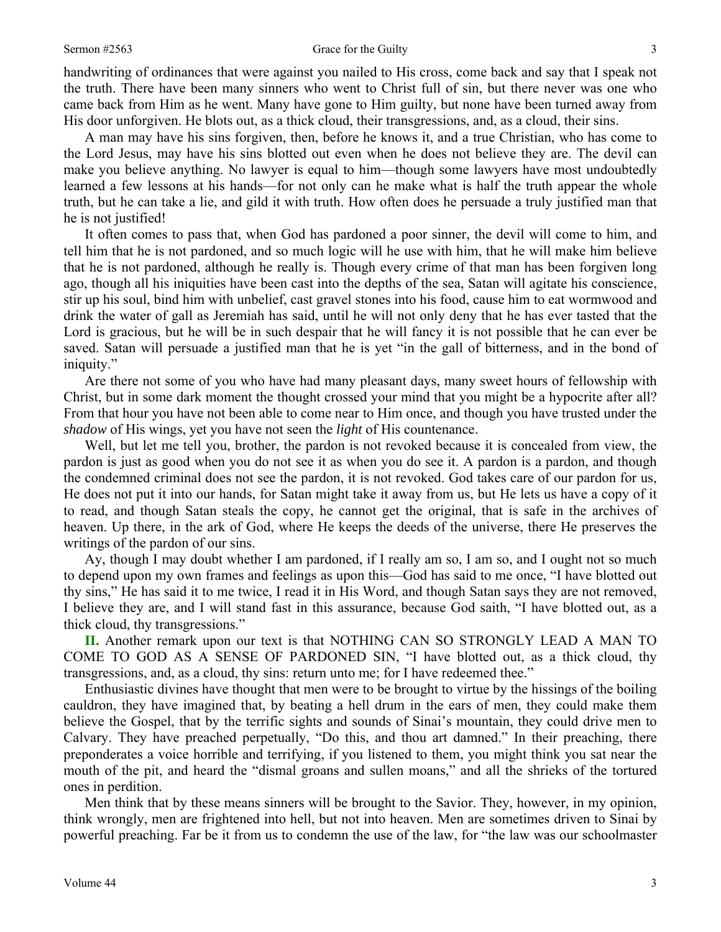handwriting of ordinances that were against you nailed to His cross, come back and say that I speak not the truth. There have been many sinners who went to Christ full of sin, but there never was one who came back from Him as he went. Many have gone to Him guilty, but none have been turned away from His door unforgiven. He blots out, as a thick cloud, their transgressions, and, as a cloud, their sins.

A man may have his sins forgiven, then, before he knows it, and a true Christian, who has come to the Lord Jesus, may have his sins blotted out even when he does not believe they are. The devil can make you believe anything. No lawyer is equal to him—though some lawyers have most undoubtedly learned a few lessons at his hands—for not only can he make what is half the truth appear the whole truth, but he can take a lie, and gild it with truth. How often does he persuade a truly justified man that he is not justified!

It often comes to pass that, when God has pardoned a poor sinner, the devil will come to him, and tell him that he is not pardoned, and so much logic will he use with him, that he will make him believe that he is not pardoned, although he really is. Though every crime of that man has been forgiven long ago, though all his iniquities have been cast into the depths of the sea, Satan will agitate his conscience, stir up his soul, bind him with unbelief, cast gravel stones into his food, cause him to eat wormwood and drink the water of gall as Jeremiah has said, until he will not only deny that he has ever tasted that the Lord is gracious, but he will be in such despair that he will fancy it is not possible that he can ever be saved. Satan will persuade a justified man that he is yet "in the gall of bitterness, and in the bond of iniquity."

Are there not some of you who have had many pleasant days, many sweet hours of fellowship with Christ, but in some dark moment the thought crossed your mind that you might be a hypocrite after all? From that hour you have not been able to come near to Him once, and though you have trusted under the *shadow* of His wings, yet you have not seen the *light* of His countenance.

Well, but let me tell you, brother, the pardon is not revoked because it is concealed from view, the pardon is just as good when you do not see it as when you do see it. A pardon is a pardon, and though the condemned criminal does not see the pardon, it is not revoked. God takes care of our pardon for us, He does not put it into our hands, for Satan might take it away from us, but He lets us have a copy of it to read, and though Satan steals the copy, he cannot get the original, that is safe in the archives of heaven. Up there, in the ark of God, where He keeps the deeds of the universe, there He preserves the writings of the pardon of our sins.

Ay, though I may doubt whether I am pardoned, if I really am so, I am so, and I ought not so much to depend upon my own frames and feelings as upon this—God has said to me once, "I have blotted out thy sins," He has said it to me twice, I read it in His Word, and though Satan says they are not removed, I believe they are, and I will stand fast in this assurance, because God saith, "I have blotted out, as a thick cloud, thy transgressions."

**II.** Another remark upon our text is that NOTHING CAN SO STRONGLY LEAD A MAN TO COME TO GOD AS A SENSE OF PARDONED SIN, "I have blotted out, as a thick cloud, thy transgressions, and, as a cloud, thy sins: return unto me; for I have redeemed thee."

Enthusiastic divines have thought that men were to be brought to virtue by the hissings of the boiling cauldron, they have imagined that, by beating a hell drum in the ears of men, they could make them believe the Gospel, that by the terrific sights and sounds of Sinai's mountain, they could drive men to Calvary. They have preached perpetually, "Do this, and thou art damned." In their preaching, there preponderates a voice horrible and terrifying, if you listened to them, you might think you sat near the mouth of the pit, and heard the "dismal groans and sullen moans," and all the shrieks of the tortured ones in perdition.

Men think that by these means sinners will be brought to the Savior. They, however, in my opinion, think wrongly, men are frightened into hell, but not into heaven. Men are sometimes driven to Sinai by powerful preaching. Far be it from us to condemn the use of the law, for "the law was our schoolmaster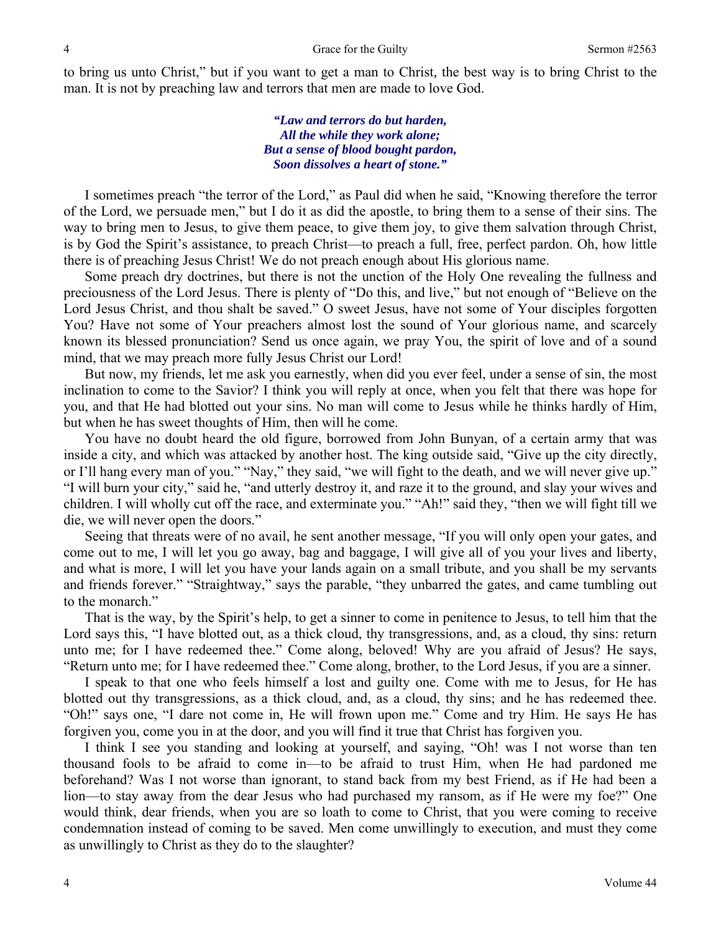to bring us unto Christ," but if you want to get a man to Christ*,* the best way is to bring Christ to the man. It is not by preaching law and terrors that men are made to love God.

> *"Law and terrors do but harden, All the while they work alone; But a sense of blood bought pardon, Soon dissolves a heart of stone."*

I sometimes preach "the terror of the Lord," as Paul did when he said, "Knowing therefore the terror of the Lord, we persuade men," but I do it as did the apostle, to bring them to a sense of their sins. The way to bring men to Jesus, to give them peace, to give them joy, to give them salvation through Christ, is by God the Spirit's assistance, to preach Christ—to preach a full, free, perfect pardon. Oh, how little there is of preaching Jesus Christ! We do not preach enough about His glorious name.

Some preach dry doctrines, but there is not the unction of the Holy One revealing the fullness and preciousness of the Lord Jesus. There is plenty of "Do this, and live," but not enough of "Believe on the Lord Jesus Christ, and thou shalt be saved." O sweet Jesus, have not some of Your disciples forgotten You? Have not some of Your preachers almost lost the sound of Your glorious name, and scarcely known its blessed pronunciation? Send us once again, we pray You, the spirit of love and of a sound mind, that we may preach more fully Jesus Christ our Lord!

But now, my friends, let me ask you earnestly, when did you ever feel, under a sense of sin, the most inclination to come to the Savior? I think you will reply at once, when you felt that there was hope for you, and that He had blotted out your sins. No man will come to Jesus while he thinks hardly of Him, but when he has sweet thoughts of Him, then will he come.

You have no doubt heard the old figure, borrowed from John Bunyan, of a certain army that was inside a city, and which was attacked by another host. The king outside said, "Give up the city directly, or I'll hang every man of you." "Nay," they said, "we will fight to the death, and we will never give up." "I will burn your city," said he, "and utterly destroy it, and raze it to the ground, and slay your wives and children. I will wholly cut off the race, and exterminate you." "Ah!" said they, "then we will fight till we die, we will never open the doors."

Seeing that threats were of no avail, he sent another message, "If you will only open your gates, and come out to me, I will let you go away, bag and baggage, I will give all of you your lives and liberty, and what is more, I will let you have your lands again on a small tribute, and you shall be my servants and friends forever." "Straightway," says the parable, "they unbarred the gates, and came tumbling out to the monarch."

That is the way, by the Spirit's help, to get a sinner to come in penitence to Jesus, to tell him that the Lord says this, "I have blotted out, as a thick cloud, thy transgressions, and, as a cloud, thy sins: return unto me; for I have redeemed thee." Come along, beloved! Why are you afraid of Jesus? He says, "Return unto me; for I have redeemed thee." Come along, brother, to the Lord Jesus, if you are a sinner.

I speak to that one who feels himself a lost and guilty one. Come with me to Jesus, for He has blotted out thy transgressions, as a thick cloud, and, as a cloud, thy sins; and he has redeemed thee. "Oh!" says one, "I dare not come in, He will frown upon me." Come and try Him. He says He has forgiven you, come you in at the door, and you will find it true that Christ has forgiven you.

I think I see you standing and looking at yourself, and saying, "Oh! was I not worse than ten thousand fools to be afraid to come in—to be afraid to trust Him, when He had pardoned me beforehand? Was I not worse than ignorant, to stand back from my best Friend, as if He had been a lion—to stay away from the dear Jesus who had purchased my ransom, as if He were my foe?" One would think, dear friends, when you are so loath to come to Christ, that you were coming to receive condemnation instead of coming to be saved. Men come unwillingly to execution, and must they come as unwillingly to Christ as they do to the slaughter?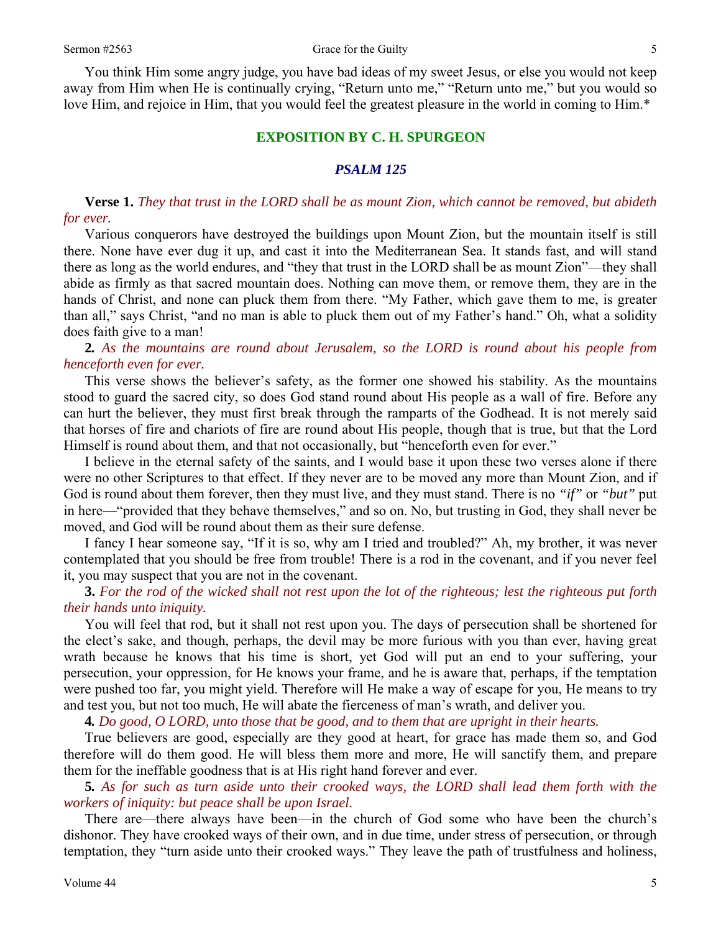You think Him some angry judge, you have bad ideas of my sweet Jesus, or else you would not keep away from Him when He is continually crying, "Return unto me," "Return unto me," but you would so love Him, and rejoice in Him, that you would feel the greatest pleasure in the world in coming to Him.<sup>\*</sup>

### **EXPOSITION BY C. H. SPURGEON**

## *PSALM 125*

**Verse 1.** *They that trust in the LORD shall be as mount Zion, which cannot be removed, but abideth for ever.* 

Various conquerors have destroyed the buildings upon Mount Zion, but the mountain itself is still there. None have ever dug it up, and cast it into the Mediterranean Sea. It stands fast, and will stand there as long as the world endures, and "they that trust in the LORD shall be as mount Zion"—they shall abide as firmly as that sacred mountain does. Nothing can move them, or remove them, they are in the hands of Christ, and none can pluck them from there. "My Father, which gave them to me, is greater than all," says Christ, "and no man is able to pluck them out of my Father's hand." Oh, what a solidity does faith give to a man!

**2***. As the mountains are round about Jerusalem, so the LORD is round about his people from henceforth even for ever.* 

This verse shows the believer's safety, as the former one showed his stability. As the mountains stood to guard the sacred city, so does God stand round about His people as a wall of fire. Before any can hurt the believer, they must first break through the ramparts of the Godhead. It is not merely said that horses of fire and chariots of fire are round about His people, though that is true, but that the Lord Himself is round about them, and that not occasionally, but "henceforth even for ever."

I believe in the eternal safety of the saints, and I would base it upon these two verses alone if there were no other Scriptures to that effect. If they never are to be moved any more than Mount Zion, and if God is round about them forever, then they must live, and they must stand. There is no *"if"* or *"but"* put in here—"provided that they behave themselves," and so on. No, but trusting in God, they shall never be moved, and God will be round about them as their sure defense.

I fancy I hear someone say, "If it is so, why am I tried and troubled?" Ah, my brother, it was never contemplated that you should be free from trouble! There is a rod in the covenant, and if you never feel it, you may suspect that you are not in the covenant.

**3.** *For the rod of the wicked shall not rest upon the lot of the righteous; lest the righteous put forth their hands unto iniquity.* 

You will feel that rod, but it shall not rest upon you. The days of persecution shall be shortened for the elect's sake, and though, perhaps, the devil may be more furious with you than ever, having great wrath because he knows that his time is short, yet God will put an end to your suffering, your persecution, your oppression, for He knows your frame, and he is aware that, perhaps, if the temptation were pushed too far, you might yield. Therefore will He make a way of escape for you, He means to try and test you, but not too much, He will abate the fierceness of man's wrath, and deliver you.

**4***. Do good, O LORD, unto those that be good, and to them that are upright in their hearts.* 

True believers are good, especially are they good at heart, for grace has made them so, and God therefore will do them good. He will bless them more and more, He will sanctify them, and prepare them for the ineffable goodness that is at His right hand forever and ever.

**5***. As for such as turn aside unto their crooked ways, the LORD shall lead them forth with the workers of iniquity: but peace shall be upon Israel.* 

There are—there always have been—in the church of God some who have been the church's dishonor. They have crooked ways of their own, and in due time, under stress of persecution, or through temptation, they "turn aside unto their crooked ways." They leave the path of trustfulness and holiness,